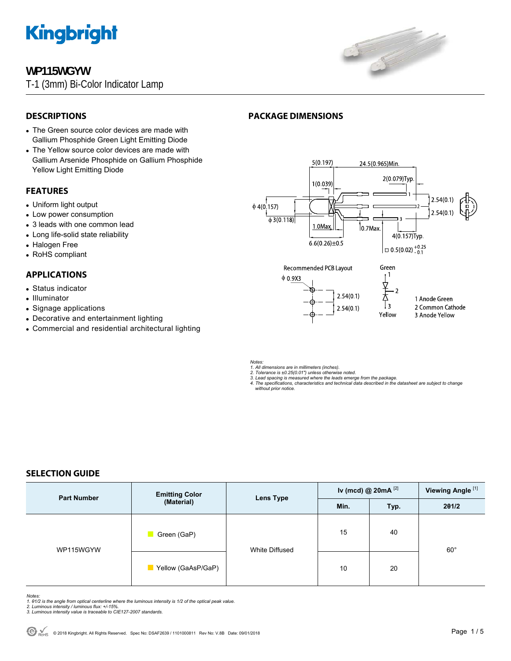

## **WP115WGYW**

T-1 (3mm) Bi-Color Indicator Lamp



## **DESCRIPTIONS**

- The Green source color devices are made with Gallium Phosphide Green Light Emitting Diode
- The Yellow source color devices are made with Gallium Arsenide Phosphide on Gallium Phosphide Yellow Light Emitting Diode

## **FEATURES**

- Uniform light output
- Low power consumption
- 3 leads with one common lead
- Long life-solid state reliability
- Halogen Free
- RoHS compliant

## **APPLICATIONS**

- Status indicator
- Illuminator
- Signage applications
- Decorative and entertainment lighting
- Commercial and residential architectural lighting





Yellow

- 2 Common Cathode
- 3 Anode Yellow

*Notes:* 

*1. All dimensions are in millimeters (inches). 2. Tolerance is ±0.25(0.01") unless otherwise noted.* 

- 
- *3. Lead spacing is measured where the leads emerge from the package. 4. The specifications, characteristics and technical data described in the datasheet are subject to change without prior notice.*

 $2.54(0.1)$ 

## **SELECTION GUIDE**

| <b>Part Number</b> | <b>Emitting Color</b><br>(Material) | <b>Lens Type</b> | Iv (mcd) @ $20mA$ <sup>[2]</sup> |      | Viewing Angle <sup>[1]</sup> |
|--------------------|-------------------------------------|------------------|----------------------------------|------|------------------------------|
|                    |                                     |                  | Min.                             | Typ. | 201/2                        |
| WP115WGYW          | Green (GaP)                         | White Diffused   | 15                               | 40   | $60^{\circ}$                 |
|                    | Yellow (GaAsP/GaP)                  |                  | 10                               | 20   |                              |

*Notes:* 

- *1. θ1/2 is the angle from optical centerline where the luminous intensity is 1/2 of the optical peak value. 2. Luminous intensity / luminous flux: +/-15%.*
- *3. Luminous intensity value is traceable to CIE127-2007 standards.*
-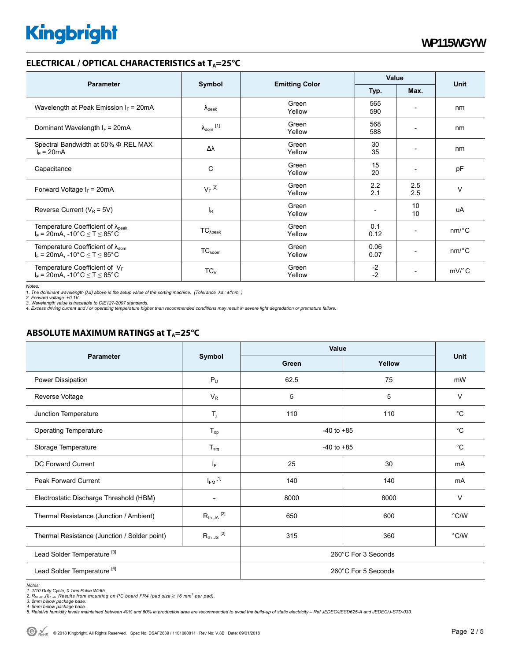### **ELECTRICAL / OPTICAL CHARACTERISTICS at T<sub>A</sub>=25°C**

| <b>Parameter</b>                                                                            | Symbol                       |                       | Value        |                              |                       |
|---------------------------------------------------------------------------------------------|------------------------------|-----------------------|--------------|------------------------------|-----------------------|
|                                                                                             |                              | <b>Emitting Color</b> | Typ.         | Max.                         | <b>Unit</b>           |
| Wavelength at Peak Emission $I_F$ = 20mA                                                    | $\lambda_{\rm peak}$         | Green<br>Yellow       | 565<br>590   | $\overline{\phantom{0}}$     | nm                    |
| Dominant Wavelength $I_F$ = 20mA                                                            | $\lambda_{\mathsf{dom}}$ [1] | Green<br>Yellow       | 568<br>588   |                              | nm                    |
| Spectral Bandwidth at 50% Φ REL MAX<br>$I_F = 20mA$                                         | Δλ                           | Green<br>Yellow       | 30<br>35     | $\qquad \qquad \blacksquare$ | nm                    |
| Capacitance                                                                                 | C                            | Green<br>Yellow       | 15<br>20     |                              | pF                    |
| Forward Voltage $I_F$ = 20mA                                                                | $V_F$ <sup>[2]</sup>         | Green<br>Yellow       | 2.2<br>2.1   | 2.5<br>2.5                   | V                     |
| Reverse Current ( $V_R$ = 5V)                                                               | $I_R$                        | Green<br>Yellow       |              | 10<br>10                     | uA                    |
| Temperature Coefficient of $\lambda_{\text{peak}}$<br>$I_F$ = 20mA, -10°C $\le T \le 85$ °C | $TC_{\lambda peak}$          | Green<br>Yellow       | 0.1<br>0.12  | $\qquad \qquad \blacksquare$ | $nm$ <sup>o</sup> $C$ |
| Temperature Coefficient of $\lambda_{\text{dom}}$<br>$I_F$ = 20mA, -10°C $\le T \le 85$ °C  | $TC_{\lambda dom}$           | Green<br>Yellow       | 0.06<br>0.07 | $\overline{a}$               | $nm$ <sup>o</sup> $C$ |
| Temperature Coefficient of $V_F$<br>$I_F = 20mA$ , -10°C $\le T \le 85$ °C                  | $TC_V$                       | Green<br>Yellow       | $-2$<br>$-2$ | $\overline{\phantom{a}}$     | $mV$ <sup>o</sup> $C$ |

*Notes:* 

1. The dominant wavelength (λd) above is the setup value of the sorting machine. (Tolerance λd : ±1nm. )<br>2. Forward voltage: ±0.1V.<br>3. Wavelength value is traceable to CIE127-2007 standards.<br>4. Excess driving current and

## **ABSOLUTE MAXIMUM RATINGS at T<sub>A</sub>=25°C**

| <b>Parameter</b>                             | Symbol                    | Value               |        |                |  |
|----------------------------------------------|---------------------------|---------------------|--------|----------------|--|
|                                              |                           | Green               | Yellow | <b>Unit</b>    |  |
| Power Dissipation                            | $P_D$                     | 62.5                | 75     | mW             |  |
| Reverse Voltage                              | $V_{R}$                   | 5                   | 5      | $\vee$         |  |
| Junction Temperature                         | $T_{j}$                   | 110                 | 110    | $^{\circ}C$    |  |
| <b>Operating Temperature</b>                 | $T_{op}$                  | $-40$ to $+85$      |        | $^{\circ}C$    |  |
| Storage Temperature                          | $\mathsf{T}_{\text{stg}}$ | $-40$ to $+85$      |        | $^{\circ}C$    |  |
| DC Forward Current                           | lF.                       | 25                  | 30     | mA             |  |
| <b>Peak Forward Current</b>                  | $I_{FM}$ <sup>[1]</sup>   | 140                 | 140    | mA             |  |
| Electrostatic Discharge Threshold (HBM)      |                           | 8000                | 8000   | $\vee$         |  |
| Thermal Resistance (Junction / Ambient)      | $R_{th}$ JA $^{[2]}$      | 650                 | 600    | $^{\circ}$ C/W |  |
| Thermal Resistance (Junction / Solder point) | $R_{th}$ JS $^{[2]}$      | 315                 | 360    | $\degree$ C/W  |  |
| Lead Solder Temperature <sup>[3]</sup>       | 260°C For 3 Seconds       |                     |        |                |  |
| Lead Solder Temperature <sup>[4]</sup>       |                           | 260°C For 5 Seconds |        |                |  |

Notes:<br>1. 1/10 Duty Cycle, 0.1ms Pulse Width.<br>2. R<sub>th JA</sub> ,R<sub>th JS</sub> Results from mounting on PC board FR4 (pad size ≥ 16 mm<sup>2</sup> per pad).<br>3. 2mm below package base.<br>4. Smlative humidity levels maintained between 40% and 60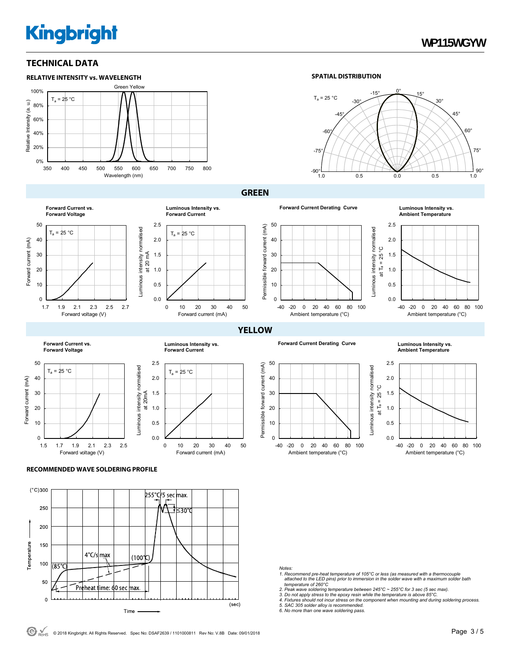## **TECHNICAL DATA**



#### **SPATIAL DISTRIBUTION**



at Ta = 25 °C

ပ္ at  $T_a = 25$ 

### **GREEN**



**Luminous Intensity vs.**<br>Ambient Temperature



0 10 20 30 40 50 Forward current (mA)

0 10 20 30 40 50

Forward current (mA)

 $T_a = 25 °C$ 

 $T_a = 25 °C$ 

**Luminous Intensity vs. Forward Current**

0.0 0.5 1.0 1.5 2.0 2.5



0.0 0.5 1.0 1.5 2.0 2.5

-40 -20 0 20 40 60 80 100 Ambient temperature (°C)



0 10 20



**Ambient Temperature**







-40 -20 0 20 40 60 80 100 Ambient temperature (°C)



#### **RECOMMENDED WAVE SOLDERING PROFILE**



#### *Notes:*

- *1. Recommend pre-heat temperature of 105°C or less (as measured with a thermocouple attached to the LED pins) prior to immersion in the solder wave with a maximum solder bath temperature of 260°C*
- 
- *2. Peak wave soldering temperature between 245°C ~ 255°C for 3 sec (5 sec max). 3. Do not apply stress to the epoxy resin while the temperature is above 85°C.*
- *4. Fixtures should not incur stress on the component when mounting and during soldering process. 5. SAC 305 solder alloy is recommended. 6. No more than one wave soldering pass.*
- 
- 
- $\Theta$   $\frac{1}{R_{\text{MHS}}}$  © 2018 Kingbright. All Rights Reserved. Spec No: DSAF2639 / 1101000811 Rev No: V.8B Date: 09/01/2018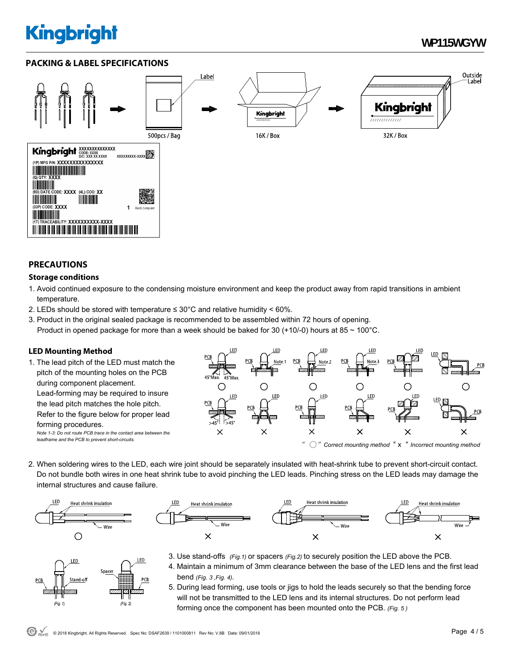## **WP115WGYW**

## **PACKING & LABEL SPECIFICATIONS**



## **PRECAUTIONS**

### **Storage conditions**

- 1. Avoid continued exposure to the condensing moisture environment and keep the product away from rapid transitions in ambient temperature.
- 2. LEDs should be stored with temperature  $\leq 30^{\circ}$ C and relative humidity < 60%.
- 3. Product in the original sealed package is recommended to be assembled within 72 hours of opening. Product in opened package for more than a week should be baked for 30 (+10/-0) hours at 85  $\sim$  100 $^{\circ}$ C.

## **LED Mounting Method**

1. The lead pitch of the LED must match the pitch of the mounting holes on the PCB during component placement. Lead-forming may be required to insure the lead pitch matches the hole pitch. Refer to the figure below for proper lead forming procedures. *Note 1-3: Do not route PCB trace in the contact area between the leadframe and the PCB to prevent short-circuits.* 



2. When soldering wires to the LED, each wire joint should be separately insulated with heat-shrink tube to prevent short-circuit contact. Do not bundle both wires in one heat shrink tube to avoid pinching the LED leads. Pinching stress on the LED leads may damage the internal structures and cause failure.



LED

 $(Fig. 1)$ 

Spacer



- 3. Use stand-offs *(Fig.1)* or spacers *(Fig.2)* to securely position the LED above the PCB.
- 4. Maintain a minimum of 3mm clearance between the base of the LED lens and the first lead bend *(Fig. 3 ,Fig. 4).*
- 5. During lead forming, use tools or jigs to hold the leads securely so that the bending force will not be transmitted to the LED lens and its internal structures. Do not perform lead forming once the component has been mounted onto the PCB. *(Fig. 5 )*

 $(Fig. 2)$ 

LED